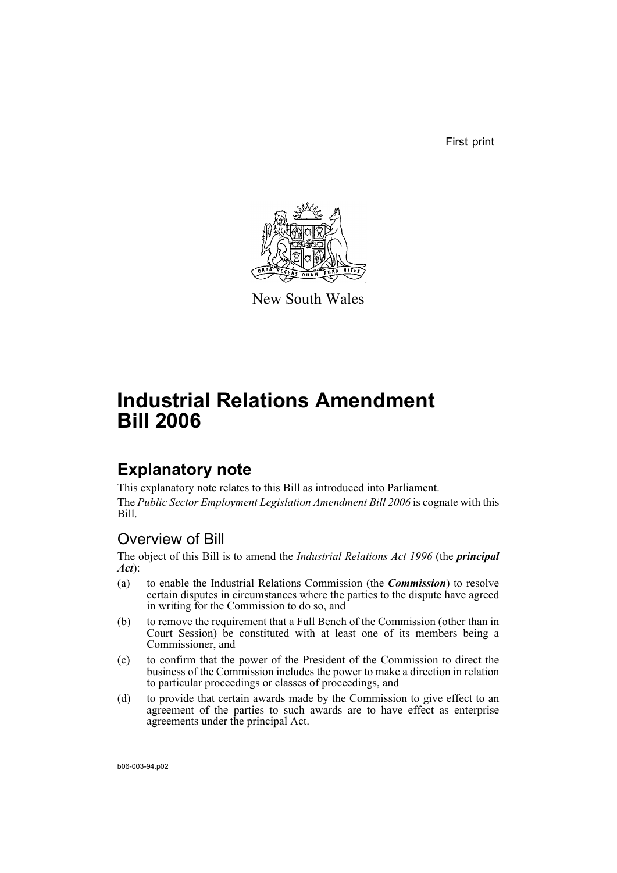First print



New South Wales

# **Industrial Relations Amendment Bill 2006**

## **Explanatory note**

This explanatory note relates to this Bill as introduced into Parliament. The *Public Sector Employment Legislation Amendment Bill 2006* is cognate with this Bill.

### Overview of Bill

The object of this Bill is to amend the *Industrial Relations Act 1996* (the *principal Act*):

- (a) to enable the Industrial Relations Commission (the *Commission*) to resolve certain disputes in circumstances where the parties to the dispute have agreed in writing for the Commission to do so, and
- (b) to remove the requirement that a Full Bench of the Commission (other than in Court Session) be constituted with at least one of its members being a Commissioner, and
- (c) to confirm that the power of the President of the Commission to direct the business of the Commission includes the power to make a direction in relation to particular proceedings or classes of proceedings, and
- (d) to provide that certain awards made by the Commission to give effect to an agreement of the parties to such awards are to have effect as enterprise agreements under the principal Act.

b06-003-94.p02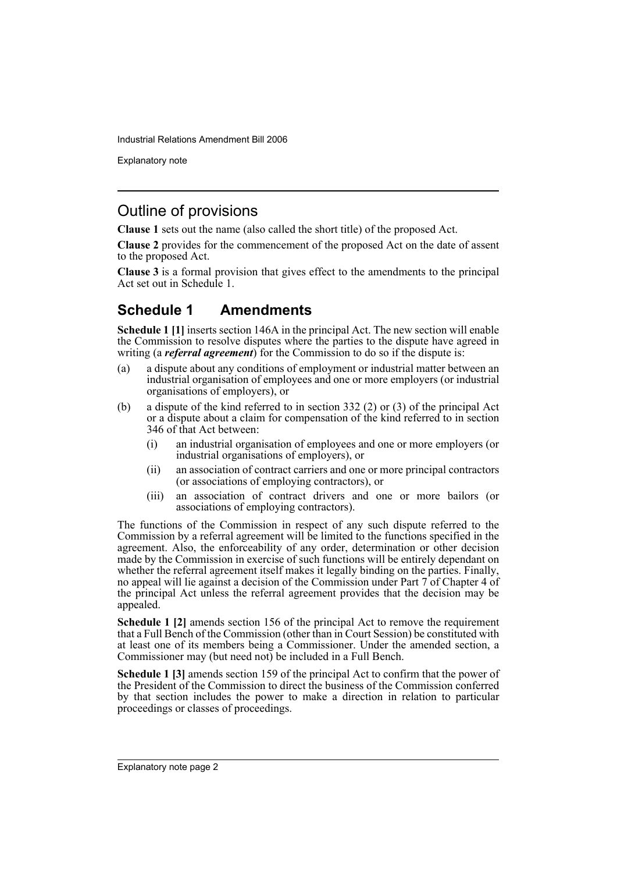Explanatory note

### Outline of provisions

**Clause 1** sets out the name (also called the short title) of the proposed Act.

**Clause 2** provides for the commencement of the proposed Act on the date of assent to the proposed Act.

**Clause 3** is a formal provision that gives effect to the amendments to the principal Act set out in Schedule 1.

### **Schedule 1 Amendments**

**Schedule 1** [1] inserts section 146A in the principal Act. The new section will enable the Commission to resolve disputes where the parties to the dispute have agreed in writing (a *referral agreement*) for the Commission to do so if the dispute is:

- (a) a dispute about any conditions of employment or industrial matter between an industrial organisation of employees and one or more employers (or industrial organisations of employers), or
- (b) a dispute of the kind referred to in section 332 (2) or (3) of the principal Act or a dispute about a claim for compensation of the kind referred to in section 346 of that Act between:
	- (i) an industrial organisation of employees and one or more employers (or industrial organisations of employers), or
	- (ii) an association of contract carriers and one or more principal contractors (or associations of employing contractors), or
	- (iii) an association of contract drivers and one or more bailors (or associations of employing contractors).

The functions of the Commission in respect of any such dispute referred to the Commission by a referral agreement will be limited to the functions specified in the agreement. Also, the enforceability of any order, determination or other decision made by the Commission in exercise of such functions will be entirely dependant on whether the referral agreement itself makes it legally binding on the parties. Finally, no appeal will lie against a decision of the Commission under Part 7 of Chapter 4 of the principal Act unless the referral agreement provides that the decision may be appealed.

**Schedule 1 [2]** amends section 156 of the principal Act to remove the requirement that a Full Bench of the Commission (other than in Court Session) be constituted with at least one of its members being a Commissioner. Under the amended section, a Commissioner may (but need not) be included in a Full Bench.

**Schedule 1 [3]** amends section 159 of the principal Act to confirm that the power of the President of the Commission to direct the business of the Commission conferred by that section includes the power to make a direction in relation to particular proceedings or classes of proceedings.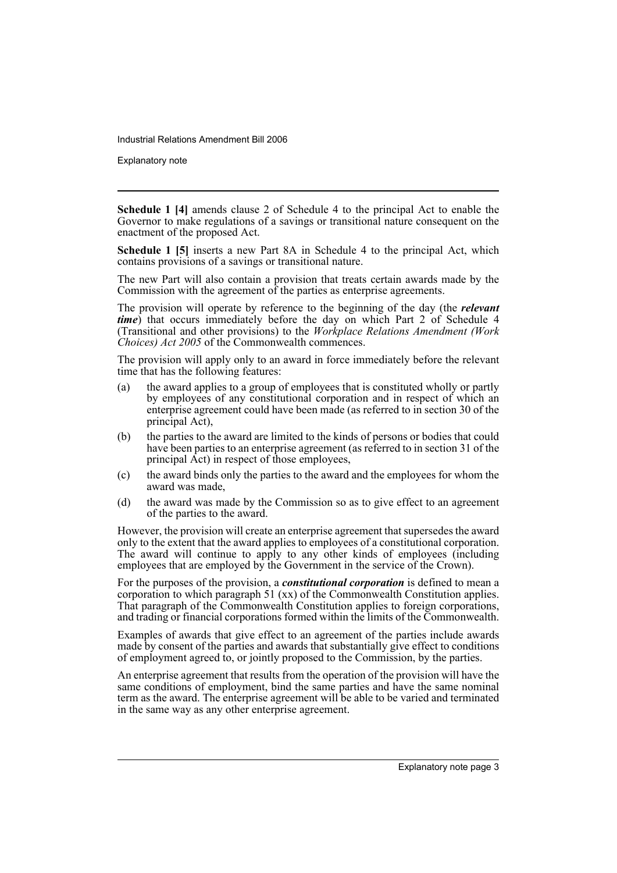Explanatory note

**Schedule 1 [4]** amends clause 2 of Schedule 4 to the principal Act to enable the Governor to make regulations of a savings or transitional nature consequent on the enactment of the proposed Act.

**Schedule 1 [5]** inserts a new Part 8A in Schedule 4 to the principal Act, which contains provisions of a savings or transitional nature.

The new Part will also contain a provision that treats certain awards made by the Commission with the agreement of the parties as enterprise agreements.

The provision will operate by reference to the beginning of the day (the *relevant time*) that occurs immediately before the day on which Part 2 of Schedule 4 (Transitional and other provisions) to the *Workplace Relations Amendment (Work Choices) Act 2005* of the Commonwealth commences.

The provision will apply only to an award in force immediately before the relevant time that has the following features:

- (a) the award applies to a group of employees that is constituted wholly or partly by employees of any constitutional corporation and in respect of which an enterprise agreement could have been made (as referred to in section 30 of the principal Act),
- (b) the parties to the award are limited to the kinds of persons or bodies that could have been parties to an enterprise agreement (as referred to in section 31 of the principal Act) in respect of those employees,
- (c) the award binds only the parties to the award and the employees for whom the award was made,
- (d) the award was made by the Commission so as to give effect to an agreement of the parties to the award.

However, the provision will create an enterprise agreement that supersedes the award only to the extent that the award applies to employees of a constitutional corporation. The award will continue to apply to any other kinds of employees (including employees that are employed by the Government in the service of the Crown).

For the purposes of the provision, a *constitutional corporation* is defined to mean a corporation to which paragraph 51 (xx) of the Commonwealth Constitution applies. That paragraph of the Commonwealth Constitution applies to foreign corporations, and trading or financial corporations formed within the limits of the Commonwealth.

Examples of awards that give effect to an agreement of the parties include awards made by consent of the parties and awards that substantially give effect to conditions of employment agreed to, or jointly proposed to the Commission, by the parties.

An enterprise agreement that results from the operation of the provision will have the same conditions of employment, bind the same parties and have the same nominal term as the award. The enterprise agreement will be able to be varied and terminated in the same way as any other enterprise agreement.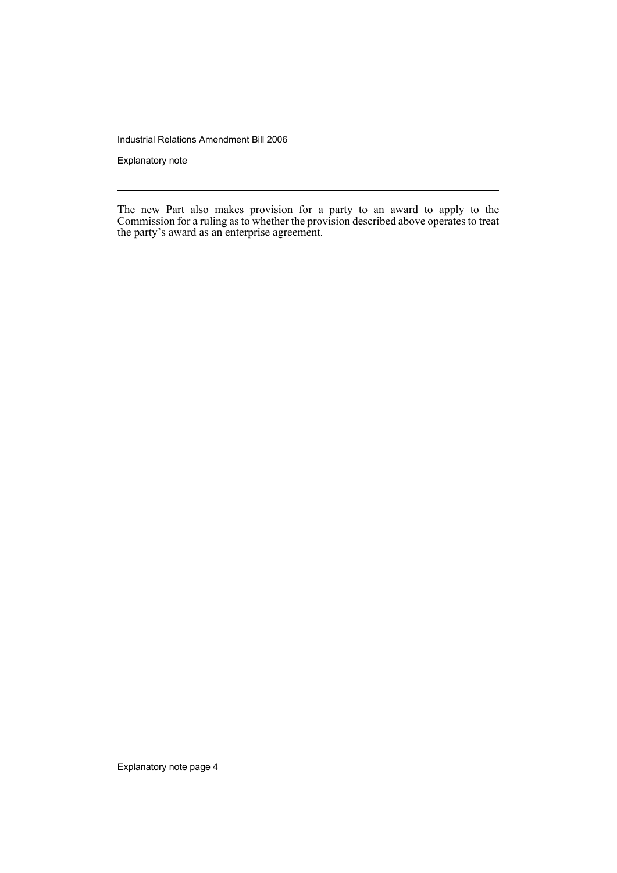Explanatory note

The new Part also makes provision for a party to an award to apply to the Commission for a ruling as to whether the provision described above operates to treat the party's award as an enterprise agreement.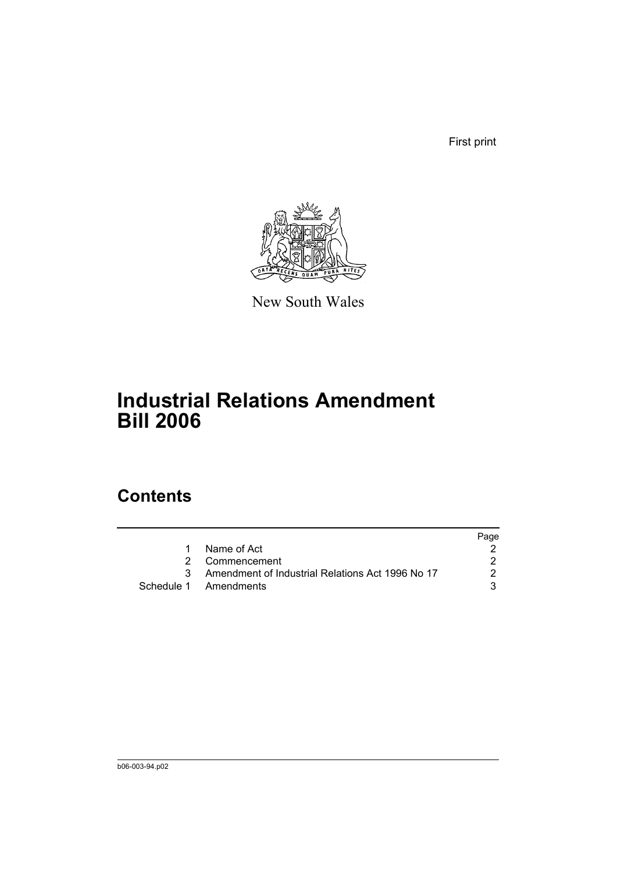First print



New South Wales

## **Industrial Relations Amendment Bill 2006**

### **Contents**

|    |                                                    | Page |
|----|----------------------------------------------------|------|
| 1. | Name of Act                                        |      |
|    | 2 Commencement                                     |      |
|    | 3 Amendment of Industrial Relations Act 1996 No 17 | 2    |
|    | Schedule 1 Amendments                              | 3    |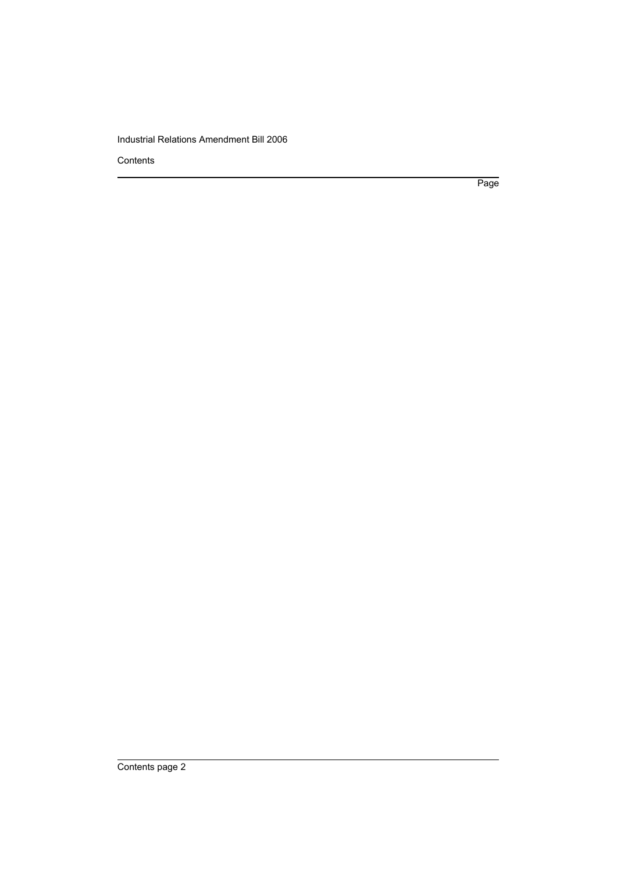**Contents** 

Page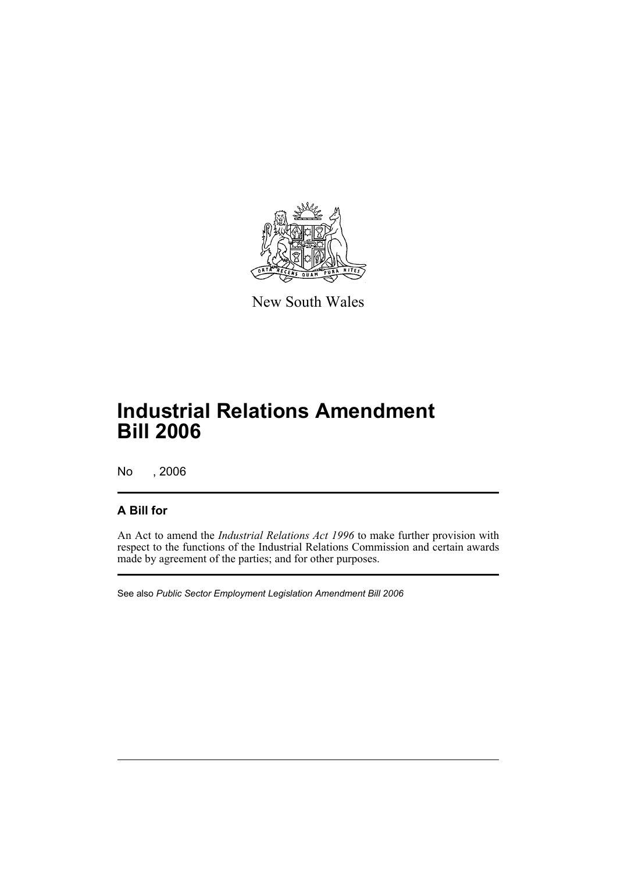

New South Wales

## **Industrial Relations Amendment Bill 2006**

No , 2006

#### **A Bill for**

An Act to amend the *Industrial Relations Act 1996* to make further provision with respect to the functions of the Industrial Relations Commission and certain awards made by agreement of the parties; and for other purposes.

See also *Public Sector Employment Legislation Amendment Bill 2006*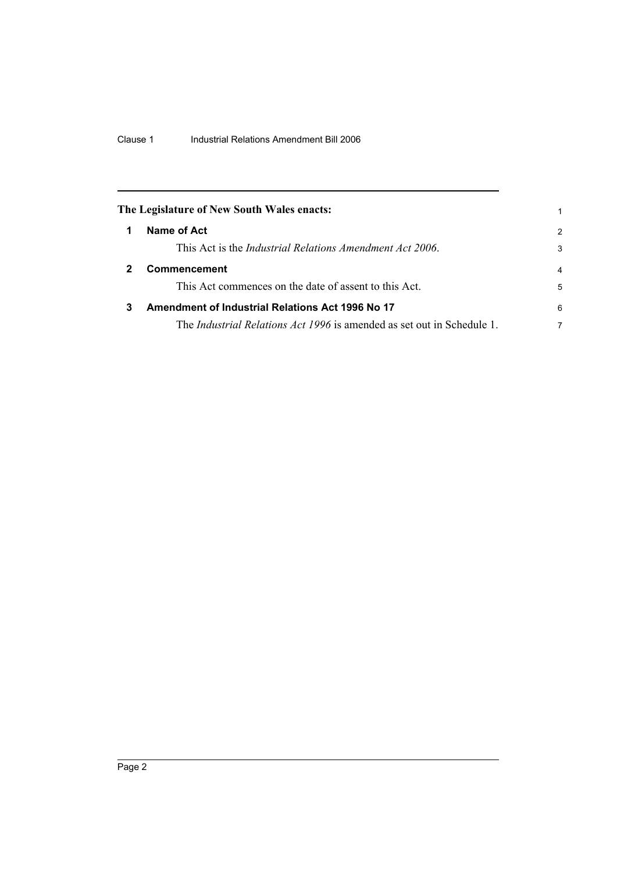|   | The Legislature of New South Wales enacts:                                    |                |
|---|-------------------------------------------------------------------------------|----------------|
| 1 | Name of Act                                                                   | $\overline{2}$ |
|   | This Act is the <i>Industrial Relations Amendment Act 2006</i> .              | 3              |
|   | Commencement                                                                  | $\overline{4}$ |
|   | This Act commences on the date of assent to this Act.                         | 5              |
| 3 | Amendment of Industrial Relations Act 1996 No 17                              | 6              |
|   | The <i>Industrial Relations Act 1996</i> is amended as set out in Schedule 1. | 7              |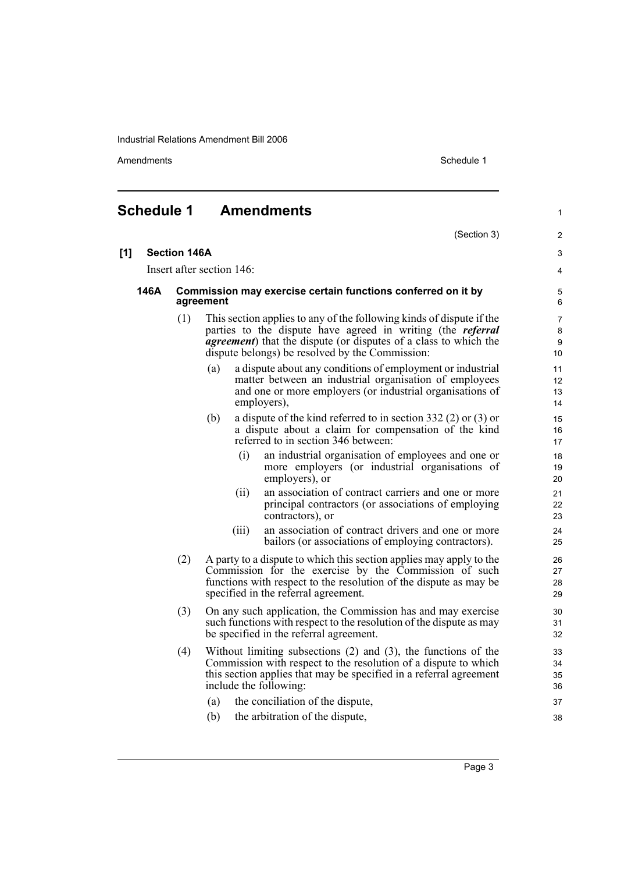Amendments Schedule 1

1

# **Schedule 1 Amendments**

|            |                           |                     | (Section 3)                                                                                                                                                                                                                                                               | $\overline{c}$                 |  |
|------------|---------------------------|---------------------|---------------------------------------------------------------------------------------------------------------------------------------------------------------------------------------------------------------------------------------------------------------------------|--------------------------------|--|
| [1]        |                           | <b>Section 146A</b> |                                                                                                                                                                                                                                                                           | 3                              |  |
|            | Insert after section 146: |                     |                                                                                                                                                                                                                                                                           |                                |  |
|            | 146A                      |                     | Commission may exercise certain functions conferred on it by<br>agreement                                                                                                                                                                                                 | 5<br>6                         |  |
|            |                           | (1)                 | This section applies to any of the following kinds of dispute if the<br>parties to the dispute have agreed in writing (the <i>referral</i><br><i>agreement</i> ) that the dispute (or disputes of a class to which the<br>dispute belongs) be resolved by the Commission: | $\overline{7}$<br>8<br>9<br>10 |  |
|            |                           |                     | a dispute about any conditions of employment or industrial<br>(a)<br>matter between an industrial organisation of employees<br>and one or more employers (or industrial organisations of<br>employers),                                                                   | 11<br>12<br>13<br>14           |  |
|            |                           |                     | (b)<br>a dispute of the kind referred to in section 332 (2) or (3) or<br>a dispute about a claim for compensation of the kind<br>referred to in section 346 between:                                                                                                      | 15<br>16<br>17                 |  |
|            |                           |                     | (i)<br>an industrial organisation of employees and one or<br>more employers (or industrial organisations of<br>employers), or                                                                                                                                             | 18<br>19<br>20                 |  |
|            |                           |                     | an association of contract carriers and one or more<br>(ii)<br>principal contractors (or associations of employing<br>contractors), or                                                                                                                                    | 21<br>22<br>23                 |  |
|            |                           |                     | an association of contract drivers and one or more<br>(iii)<br>bailors (or associations of employing contractors).                                                                                                                                                        | 24<br>25                       |  |
|            |                           | (2)                 | A party to a dispute to which this section applies may apply to the<br>Commission for the exercise by the Commission of such<br>functions with respect to the resolution of the dispute as may be<br>specified in the referral agreement.                                 | 26<br>27<br>28<br>29           |  |
| (3)<br>(4) |                           |                     | On any such application, the Commission has and may exercise<br>such functions with respect to the resolution of the dispute as may<br>be specified in the referral agreement.                                                                                            | 30<br>31<br>32                 |  |
|            |                           |                     | Without limiting subsections $(2)$ and $(3)$ , the functions of the<br>Commission with respect to the resolution of a dispute to which<br>this section applies that may be specified in a referral agreement<br>include the following:                                    | 33<br>34<br>35<br>36           |  |
|            |                           |                     | the conciliation of the dispute,<br>(a)                                                                                                                                                                                                                                   | 37                             |  |
|            |                           |                     | (b)<br>the arbitration of the dispute,                                                                                                                                                                                                                                    | 38                             |  |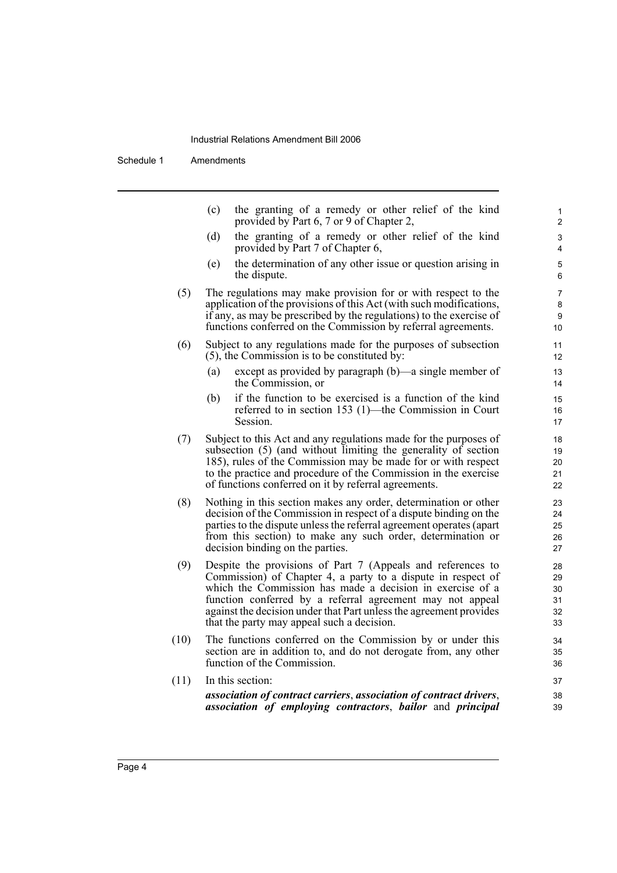Schedule 1 Amendments

|      | (c)<br>the granting of a remedy or other relief of the kind<br>provided by Part 6, 7 or 9 of Chapter 2,                                                                                                                                                                                                                                                                   | 1<br>$\overline{2}$ |  |
|------|---------------------------------------------------------------------------------------------------------------------------------------------------------------------------------------------------------------------------------------------------------------------------------------------------------------------------------------------------------------------------|---------------------|--|
|      | the granting of a remedy or other relief of the kind<br>(d)<br>provided by Part 7 of Chapter 6,                                                                                                                                                                                                                                                                           | 3<br>4              |  |
|      | the determination of any other issue or question arising in<br>(e)<br>the dispute.                                                                                                                                                                                                                                                                                        | 5<br>6              |  |
| (5)  | The regulations may make provision for or with respect to the<br>application of the provisions of this Act (with such modifications,<br>if any, as may be prescribed by the regulations) to the exercise of<br>functions conferred on the Commission by referral agreements.                                                                                              |                     |  |
| (6)  | Subject to any regulations made for the purposes of subsection<br>$(5)$ , the Commission is to be constituted by:                                                                                                                                                                                                                                                         |                     |  |
|      | except as provided by paragraph (b)—a single member of<br>(a)<br>the Commission, or                                                                                                                                                                                                                                                                                       | 13<br>14            |  |
|      | if the function to be exercised is a function of the kind<br>(b)<br>referred to in section 153 $(1)$ —the Commission in Court<br>Session.                                                                                                                                                                                                                                 | 15<br>16<br>17      |  |
| (7)  | Subject to this Act and any regulations made for the purposes of<br>subsection (5) (and without limiting the generality of section<br>185), rules of the Commission may be made for or with respect<br>to the practice and procedure of the Commission in the exercise<br>of functions conferred on it by referral agreements.                                            |                     |  |
| (8)  | Nothing in this section makes any order, determination or other<br>decision of the Commission in respect of a dispute binding on the<br>parties to the dispute unless the referral agreement operates (apart<br>from this section) to make any such order, determination or<br>decision binding on the parties.                                                           |                     |  |
| (9)  | Despite the provisions of Part 7 (Appeals and references to<br>Commission) of Chapter 4, a party to a dispute in respect of<br>which the Commission has made a decision in exercise of a<br>function conferred by a referral agreement may not appeal<br>against the decision under that Part unless the agreement provides<br>that the party may appeal such a decision. |                     |  |
| (10) | The functions conferred on the Commission by or under this<br>section are in addition to, and do not derogate from, any other<br>function of the Commission.                                                                                                                                                                                                              |                     |  |
| (11) | In this section:                                                                                                                                                                                                                                                                                                                                                          | 37                  |  |
|      | association of contract carriers, association of contract drivers,<br>association of employing contractors, bailor and principal                                                                                                                                                                                                                                          | 38<br>39            |  |
|      |                                                                                                                                                                                                                                                                                                                                                                           |                     |  |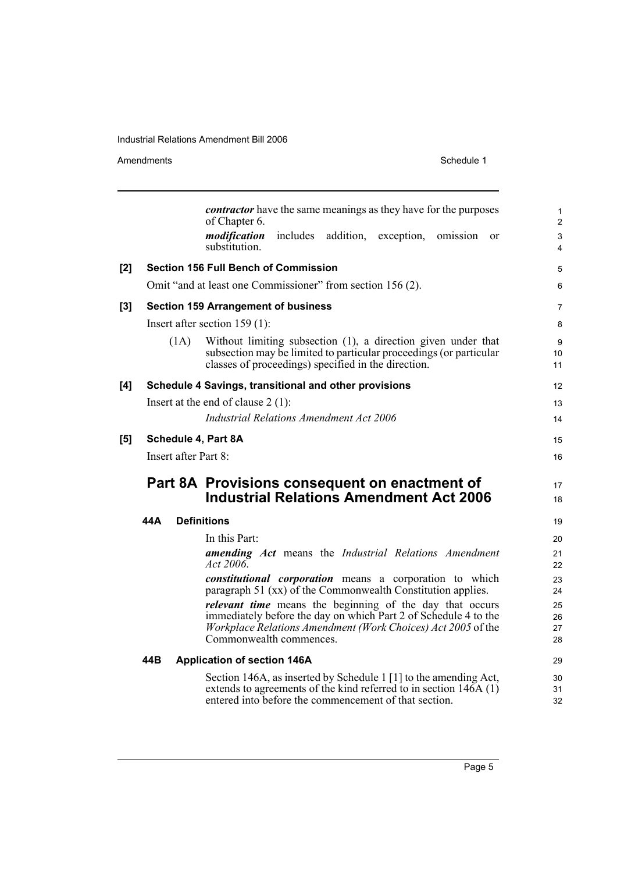Amendments Schedule 1

|       |                                                       |      | <i>contractor</i> have the same meanings as they have for the purposes<br>of Chapter 6.                                                                                                         | 1<br>$\overline{2}$           |
|-------|-------------------------------------------------------|------|-------------------------------------------------------------------------------------------------------------------------------------------------------------------------------------------------|-------------------------------|
|       |                                                       |      | modification<br>includes addition, exception,<br>omission<br><sub>or</sub><br>substitution.                                                                                                     | $\mathsf 3$<br>$\overline{4}$ |
| [2]   |                                                       |      | <b>Section 156 Full Bench of Commission</b>                                                                                                                                                     | 5                             |
|       |                                                       |      | Omit "and at least one Commissioner" from section 156 (2).                                                                                                                                      | 6                             |
| $[3]$ |                                                       |      | <b>Section 159 Arrangement of business</b>                                                                                                                                                      | $\overline{7}$                |
|       | Insert after section $159(1)$ :                       |      |                                                                                                                                                                                                 |                               |
|       |                                                       | (1A) | Without limiting subsection (1), a direction given under that<br>subsection may be limited to particular proceedings (or particular<br>classes of proceedings) specified in the direction.      | 9<br>10<br>11                 |
| [4]   | Schedule 4 Savings, transitional and other provisions |      |                                                                                                                                                                                                 | 12                            |
|       |                                                       |      | Insert at the end of clause $2(1)$ :                                                                                                                                                            | 13                            |
|       |                                                       |      | <b>Industrial Relations Amendment Act 2006</b>                                                                                                                                                  | 14                            |
| [5]   |                                                       |      | Schedule 4, Part 8A                                                                                                                                                                             | 15                            |
|       | Insert after Part 8:                                  |      |                                                                                                                                                                                                 | 16                            |
|       |                                                       |      | Part 8A Provisions consequent on enactment of<br><b>Industrial Relations Amendment Act 2006</b>                                                                                                 | 17<br>18                      |
|       | 44A                                                   |      | <b>Definitions</b>                                                                                                                                                                              | 19                            |
|       |                                                       |      | In this Part:                                                                                                                                                                                   | 20                            |
|       |                                                       |      | <b>amending</b> Act means the Industrial Relations Amendment<br>$Act\,2006$ .                                                                                                                   | 21<br>22                      |
|       |                                                       |      | constitutional corporation means a corporation to which<br>paragraph 51 (xx) of the Commonwealth Constitution applies.                                                                          | 23<br>24                      |
|       |                                                       |      | relevant time means the beginning of the day that occurs<br>immediately before the day on which Part 2 of Schedule 4 to the<br>Workplace Relations Amendment (Work Choices) Act 2005 of the     | 25<br>26<br>27                |
|       |                                                       |      | Commonwealth commences.                                                                                                                                                                         | 28                            |
|       | 44B                                                   |      | <b>Application of section 146A</b>                                                                                                                                                              | 29                            |
|       |                                                       |      | Section 146A, as inserted by Schedule 1 [1] to the amending Act,<br>extends to agreements of the kind referred to in section $146A(1)$<br>entered into before the commencement of that section. | 30<br>31<br>32                |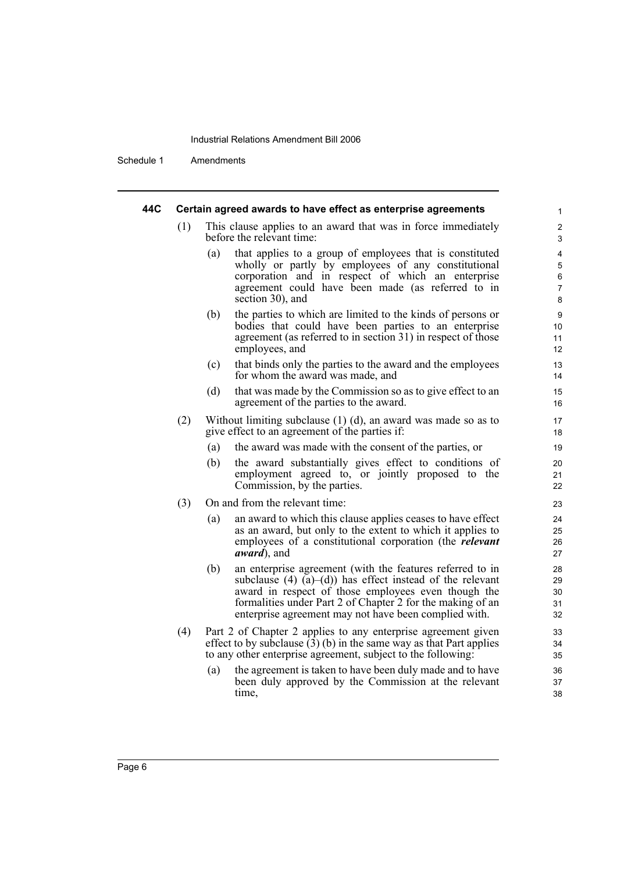Schedule 1 Amendments

| 44C | Certain agreed awards to have effect as enterprise agreements |                                                                                                                                                                                                                                                                                                                |                                          |  |
|-----|---------------------------------------------------------------|----------------------------------------------------------------------------------------------------------------------------------------------------------------------------------------------------------------------------------------------------------------------------------------------------------------|------------------------------------------|--|
|     | (1)                                                           | This clause applies to an award that was in force immediately<br>before the relevant time:                                                                                                                                                                                                                     |                                          |  |
|     |                                                               | that applies to a group of employees that is constituted<br>(a)<br>wholly or partly by employees of any constitutional<br>corporation and in respect of which an enterprise<br>agreement could have been made (as referred to in<br>section 30), and                                                           | 4<br>5<br>$\,6\,$<br>$\overline{7}$<br>8 |  |
|     |                                                               | (b)<br>the parties to which are limited to the kinds of persons or<br>bodies that could have been parties to an enterprise<br>agreement (as referred to in section 31) in respect of those<br>employees, and                                                                                                   | $\boldsymbol{9}$<br>10<br>11<br>12       |  |
|     |                                                               | (c)<br>that binds only the parties to the award and the employees<br>for whom the award was made, and                                                                                                                                                                                                          | 13<br>14                                 |  |
|     |                                                               | (d)<br>that was made by the Commission so as to give effect to an<br>agreement of the parties to the award.                                                                                                                                                                                                    | 15<br>16                                 |  |
|     | (2)                                                           | Without limiting subclause $(1)$ $(d)$ , an award was made so as to<br>give effect to an agreement of the parties if:                                                                                                                                                                                          | 17<br>18                                 |  |
|     |                                                               | the award was made with the consent of the parties, or<br>(a)                                                                                                                                                                                                                                                  | 19                                       |  |
|     |                                                               | the award substantially gives effect to conditions of<br>(b)<br>employment agreed to, or jointly proposed to the<br>Commission, by the parties.                                                                                                                                                                | 20<br>21<br>22                           |  |
|     | (3)                                                           | On and from the relevant time:                                                                                                                                                                                                                                                                                 | 23                                       |  |
|     |                                                               | an award to which this clause applies ceases to have effect<br>(a)<br>as an award, but only to the extent to which it applies to<br>employees of a constitutional corporation (the <i>relevant</i><br><i>award</i> ), and                                                                                      | 24<br>25<br>26<br>27                     |  |
|     |                                                               | (b)<br>an enterprise agreement (with the features referred to in<br>subclause (4) $(a)$ –(d)) has effect instead of the relevant<br>award in respect of those employees even though the<br>formalities under Part 2 of Chapter 2 for the making of an<br>enterprise agreement may not have been complied with. | 28<br>29<br>30<br>31<br>32               |  |
|     | (4)                                                           | Part 2 of Chapter 2 applies to any enterprise agreement given<br>effect to by subclause $(3)$ (b) in the same way as that Part applies<br>to any other enterprise agreement, subject to the following:                                                                                                         | 33<br>34<br>35                           |  |
|     |                                                               | the agreement is taken to have been duly made and to have<br>(a)<br>been duly approved by the Commission at the relevant<br>time,                                                                                                                                                                              | 36<br>37<br>38                           |  |